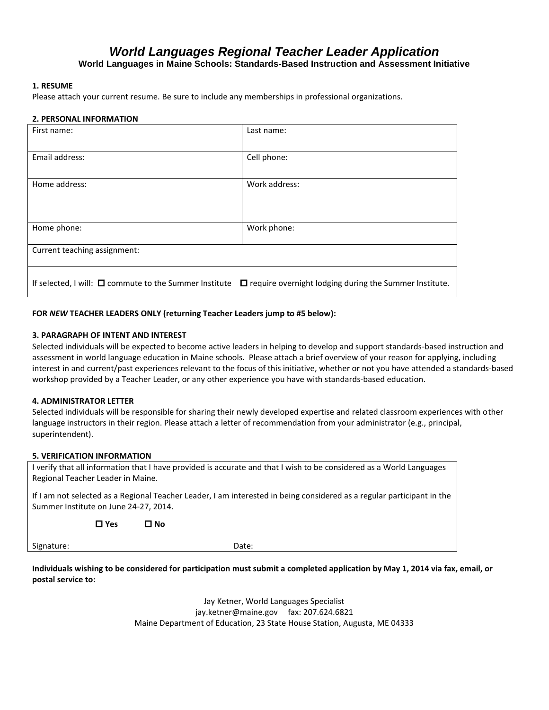# *World Languages Regional Teacher Leader Application*

**World Languages in Maine Schools: Standards-Based Instruction and Assessment Initiative**

## **1. RESUME**

Please attach your current resume. Be sure to include any memberships in professional organizations.

### **2. PERSONAL INFORMATION**

| First name:                                                                                                                  | Last name:    |
|------------------------------------------------------------------------------------------------------------------------------|---------------|
| Email address:                                                                                                               | Cell phone:   |
| Home address:                                                                                                                | Work address: |
| Home phone:                                                                                                                  | Work phone:   |
| Current teaching assignment:                                                                                                 |               |
| If selected, I will: $\Box$ commute to the Summer Institute<br>$\Box$ require overnight lodging during the Summer Institute. |               |

## **FOR** *NEW* **TEACHER LEADERS ONLY (returning Teacher Leaders jump to #5 below):**

## **3. PARAGRAPH OF INTENT AND INTEREST**

Selected individuals will be expected to become active leaders in helping to develop and support standards-based instruction and assessment in world language education in Maine schools. Please attach a brief overview of your reason for applying, including interest in and current/past experiences relevant to the focus of this initiative, whether or not you have attended a standards-based workshop provided by a Teacher Leader, or any other experience you have with standards-based education.

### **4. ADMINISTRATOR LETTER**

Selected individuals will be responsible for sharing their newly developed expertise and related classroom experiences with other language instructors in their region. Please attach a letter of recommendation from your administrator (e.g., principal, superintendent).

### **5. VERIFICATION INFORMATION**

I verify that all information that I have provided is accurate and that I wish to be considered as a World Languages Regional Teacher Leader in Maine.

If I am not selected as a Regional Teacher Leader, I am interested in being considered as a regular participant in the Summer Institute on June 24-27, 2014.

**Yes No**

Signature: Date: Date: Date: Date: Date: Date: Date: Date: Date: Date: Date: Date: Date: Date: Date: Date: Date: Date: Date: Date: Date: Date: Date: Date: Date: Date: Date: Date: Date: Date: Date: Date: Date: Date: Date: D

**Individuals wishing to be considered for participation must submit a completed application by May 1, 2014 via fax, email, or postal service to:**

> Jay Ketner, World Languages Specialist jay.ketner@maine.gov fax: 207.624.6821 Maine Department of Education, 23 State House Station, Augusta, ME 04333